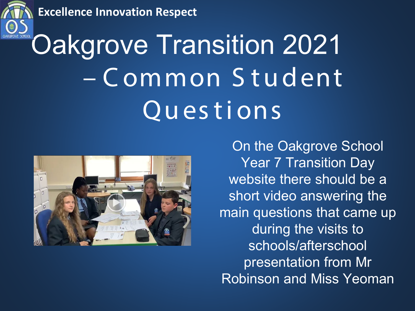**Excellence Innovation Respect** 



# **Oakgrove Transition 2021** - Common Student Questions



On the Oakgrove School **Year 7 Transition Day** website there should be a short video answering the main questions that came up during the visits to schools/afterschool presentation from Mr **Robinson and Miss Yeoman**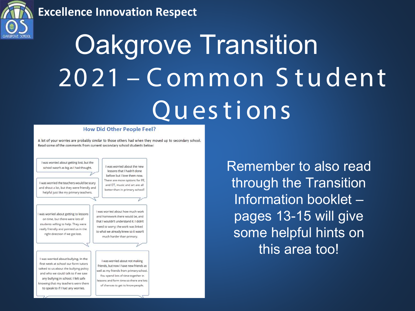#### **Excellence Innovation Respect**



# **Oakgrove Transition** 2021 - Common Student Questions

#### **How Did Other People Feel?**

A lot of your worries are probably similar to those others had when they moved up to secondary school. Read some of the comments from current secondary school students below:

I was worried about getting lost, but the I was worried about the new school wasn't as big as I had thought. lessons that I hadn't done before but I love them now. There are more options for PE, I was worried the teachers would be scary and DT, music and art are all and shout a lot, but they were friendly and better than in primary school! helpful just like my primary teachers. I was worried about how much work I was worried about getting to lessons and homework there would be, and on time, but there were lots of that I wouldn't understand it. I didn't students willing to help. They were need to worry; the work was linked really friendly and pointed us in the to what we already knew so it wasn't right direction if we got lost. much harder than primary. I was worried about bullying. In the I was worried about not making first week at school our form tutors friends, but now I have new friends as talked to us about the bullying policy well as my friends from primary school. and who we could talk to if we saw You spend lots of time together in any bullying in school. I felt safe

Remember to also read through the Transition Information booklet pages 13-15 will give some helpful hints on this area too!

lessons and form time so there are lots of chances to get to know people.

knowing that my teachers were there

to speak to if I had any worries.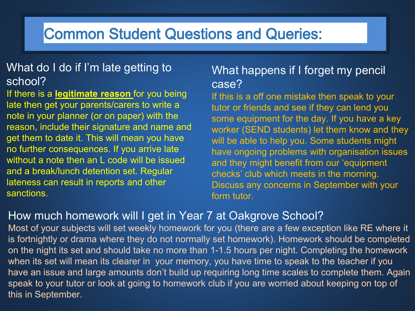#### What do I do if I'm late getting to school?

If there is a **legitimate reason** for you being late then get your parents/carers to write a note in your planner (or on paper) with the reason, include their signature and name and get them to date it. This will mean you have no further consequences. If you arrive late without a note then an L code will be issued and a break/lunch detention set. Regular lateness can result in reports and other sanctions.

#### What happens if I forget my pencil case?

If this is a off one mistake then speak to your tutor or friends and see if they can lend you some equipment for the day. If you have a key worker (SEND students) let them know and they will be able to help you. Some students might have ongoing problems with organisation issues and they might benefit from our 'equipment checks' club which meets in the morning. Discuss any concerns in September with your form tutor.

#### How much homework will I get in Year 7 at Oakgrove School?

Most of your subjects will set weekly homework for you (there are a few exception like RE where it is fortnightly or drama where they do not normally set homework). Homework should be completed on the night its set and should take no more than 1-1.5 hours per night. Completing the homework when its set will mean its clearer in your memory, you have time to speak to the teacher if you have an issue and large amounts don't build up requiring long time scales to complete them. Again speak to your tutor or look at going to homework club if you are worried about keeping on top of this in September.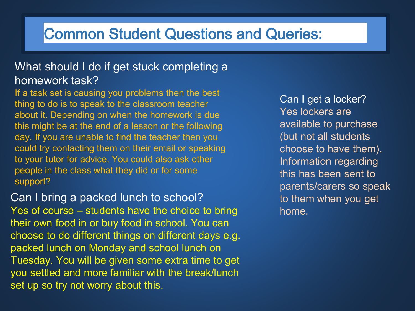#### What should I do if get stuck completing a homework task?

If a task set is causing you problems then the best thing to do is to speak to the classroom teacher about it. Depending on when the homework is due this might be at the end of a lesson or the following day. If you are unable to find the teacher then you could try contacting them on their email or speaking to your tutor for advice. You could also ask other people in the class what they did or for some support?

Can I bring a packed lunch to school? Yes of course – students have the choice to bring their own food in or buy food in school. You can choose to do different things on different days e.g. packed lunch on Monday and school lunch on Tuesday. You will be given some extra time to get you settled and more familiar with the break/lunch set up so try not worry about this.

Can I get a locker? Yes lockers are available to purchase (but not all students choose to have them). Information regarding this has been sent to parents/carers so speak to them when you get home.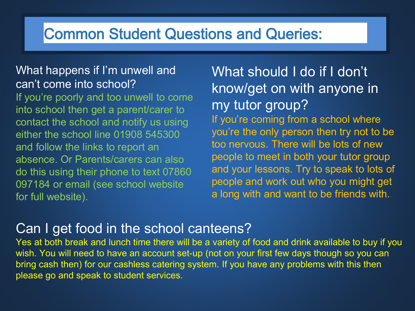#### What happens if I'm unwell and can't come into school?

If you're poorly and too unwell to come into school then get a parent/carer to contact the school and notify us using either the school line 01908 545300 and follow the links to report an absence. Or Parents/carers can also do this using their phone to text 07860 097184 or email (see school website for full website).

What should I do if I don't know/get on with anyone in my tutor group? If you're coming from a school where you're the only person then try not to be too nervous. There will be lots of new people to meet in both your tutor group and your lessons. Try to speak to lots of people and work out who you might get a long with and want to be friends with.

### Can I get food in the school canteens?

Yes at both break and lunch time there will be a variety of food and drink available to buy if you wish. You will need to have an account set-up (not on your first few days though so you can bring cash then) for our cashless catering system. If you have any problems with this then please go and speak to student services.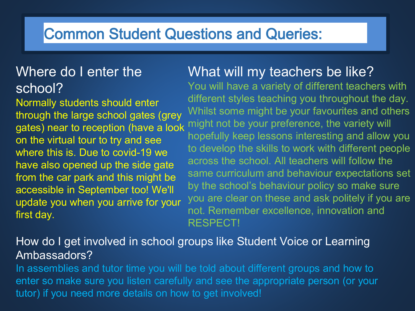### Where do I enter the school?

Normally students should enter through the large school gates (grey gates) near to reception (have a look on the virtual tour to try and see where this is. Due to covid-19 we have also opened up the side gate from the car park and this might be accessible in September too! We'll update you when you arrive for your first day.

### What will my teachers be like?

You will have a variety of different teachers with different styles teaching you throughout the day. Whilst some might be your favourites and others might not be your preference, the variety will hopefully keep lessons interesting and allow you to develop the skills to work with different people across the school. All teachers will follow the same curriculum and behaviour expectations set by the school's behaviour policy so make sure you are clear on these and ask politely if you are not. Remember excellence, innovation and RESPECT!

#### How do I get involved in school groups like Student Voice or Learning Ambassadors?

In assemblies and tutor time you will be told about different groups and how to enter so make sure you listen carefully and see the appropriate person (or your tutor) if you need more details on how to get involved!